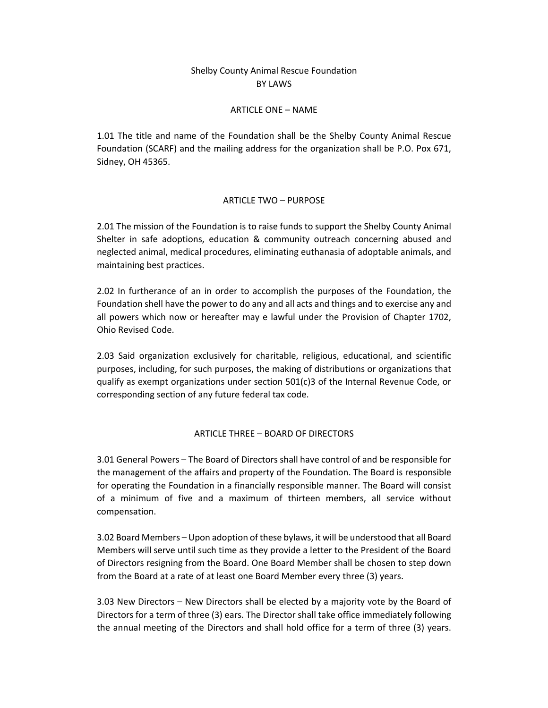# Shelby County Animal Rescue Foundation BY LAWS

### ARTICLE ONE – NAME

1.01 The title and name of the Foundation shall be the Shelby County Animal Rescue Foundation (SCARF) and the mailing address for the organization shall be P.O. Pox 671, Sidney, OH 45365.

## ARTICLE TWO – PURPOSE

2.01 The mission of the Foundation is to raise funds to support the Shelby County Animal Shelter in safe adoptions, education & community outreach concerning abused and neglected animal, medical procedures, eliminating euthanasia of adoptable animals, and maintaining best practices.

2.02 In furtherance of an in order to accomplish the purposes of the Foundation, the Foundation shell have the power to do any and all acts and things and to exercise any and all powers which now or hereafter may e lawful under the Provision of Chapter 1702, Ohio Revised Code.

2.03 Said organization exclusively for charitable, religious, educational, and scientific purposes, including, for such purposes, the making of distributions or organizations that qualify as exempt organizations under section 501(c)3 of the Internal Revenue Code, or corresponding section of any future federal tax code.

## ARTICLE THREE – BOARD OF DIRECTORS

3.01 General Powers – The Board of Directors shall have control of and be responsible for the management of the affairs and property of the Foundation. The Board is responsible for operating the Foundation in a financially responsible manner. The Board will consist of a minimum of five and a maximum of thirteen members, all service without compensation.

3.02 Board Members – Upon adoption of these bylaws, it will be understood that all Board Members will serve until such time as they provide a letter to the President of the Board of Directors resigning from the Board. One Board Member shall be chosen to step down from the Board at a rate of at least one Board Member every three (3) years.

3.03 New Directors – New Directors shall be elected by a majority vote by the Board of Directors for a term of three (3) ears. The Director shall take office immediately following the annual meeting of the Directors and shall hold office for a term of three (3) years.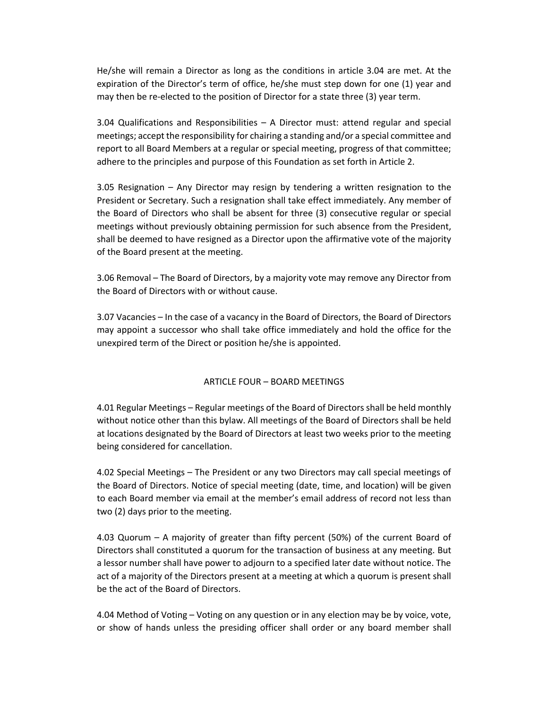He/she will remain a Director as long as the conditions in article 3.04 are met. At the expiration of the Director's term of office, he/she must step down for one (1) year and may then be re-elected to the position of Director for a state three (3) year term.

3.04 Qualifications and Responsibilities – A Director must: attend regular and special meetings; accept the responsibility for chairing a standing and/or a special committee and report to all Board Members at a regular or special meeting, progress of that committee; adhere to the principles and purpose of this Foundation as set forth in Article 2.

3.05 Resignation – Any Director may resign by tendering a written resignation to the President or Secretary. Such a resignation shall take effect immediately. Any member of the Board of Directors who shall be absent for three (3) consecutive regular or special meetings without previously obtaining permission for such absence from the President, shall be deemed to have resigned as a Director upon the affirmative vote of the majority of the Board present at the meeting.

3.06 Removal – The Board of Directors, by a majority vote may remove any Director from the Board of Directors with or without cause.

3.07 Vacancies – In the case of a vacancy in the Board of Directors, the Board of Directors may appoint a successor who shall take office immediately and hold the office for the unexpired term of the Direct or position he/she is appointed.

## ARTICLE FOUR – BOARD MEETINGS

4.01 Regular Meetings – Regular meetings of the Board of Directors shall be held monthly without notice other than this bylaw. All meetings of the Board of Directors shall be held at locations designated by the Board of Directors at least two weeks prior to the meeting being considered for cancellation.

4.02 Special Meetings – The President or any two Directors may call special meetings of the Board of Directors. Notice of special meeting (date, time, and location) will be given to each Board member via email at the member's email address of record not less than two (2) days prior to the meeting.

4.03 Quorum – A majority of greater than fifty percent (50%) of the current Board of Directors shall constituted a quorum for the transaction of business at any meeting. But a lessor number shall have power to adjourn to a specified later date without notice. The act of a majority of the Directors present at a meeting at which a quorum is present shall be the act of the Board of Directors.

4.04 Method of Voting – Voting on any question or in any election may be by voice, vote, or show of hands unless the presiding officer shall order or any board member shall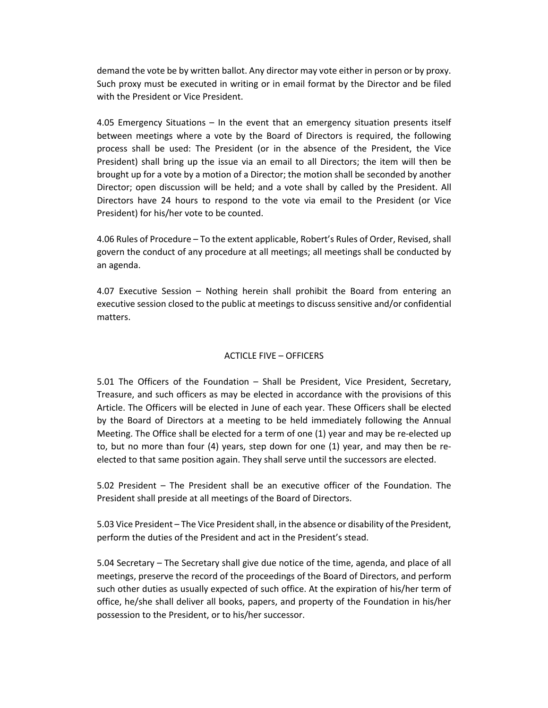demand the vote be by written ballot. Any director may vote either in person or by proxy. Such proxy must be executed in writing or in email format by the Director and be filed with the President or Vice President.

4.05 Emergency Situations – In the event that an emergency situation presents itself between meetings where a vote by the Board of Directors is required, the following process shall be used: The President (or in the absence of the President, the Vice President) shall bring up the issue via an email to all Directors; the item will then be brought up for a vote by a motion of a Director; the motion shall be seconded by another Director; open discussion will be held; and a vote shall by called by the President. All Directors have 24 hours to respond to the vote via email to the President (or Vice President) for his/her vote to be counted.

4.06 Rules of Procedure – To the extent applicable, Robert's Rules of Order, Revised, shall govern the conduct of any procedure at all meetings; all meetings shall be conducted by an agenda.

4.07 Executive Session – Nothing herein shall prohibit the Board from entering an executive session closed to the public at meetings to discuss sensitive and/or confidential matters.

## ACTICLE FIVE – OFFICERS

5.01 The Officers of the Foundation – Shall be President, Vice President, Secretary, Treasure, and such officers as may be elected in accordance with the provisions of this Article. The Officers will be elected in June of each year. These Officers shall be elected by the Board of Directors at a meeting to be held immediately following the Annual Meeting. The Office shall be elected for a term of one (1) year and may be re-elected up to, but no more than four (4) years, step down for one (1) year, and may then be reelected to that same position again. They shall serve until the successors are elected.

5.02 President – The President shall be an executive officer of the Foundation. The President shall preside at all meetings of the Board of Directors.

5.03 Vice President – The Vice President shall, in the absence or disability of the President, perform the duties of the President and act in the President's stead.

5.04 Secretary – The Secretary shall give due notice of the time, agenda, and place of all meetings, preserve the record of the proceedings of the Board of Directors, and perform such other duties as usually expected of such office. At the expiration of his/her term of office, he/she shall deliver all books, papers, and property of the Foundation in his/her possession to the President, or to his/her successor.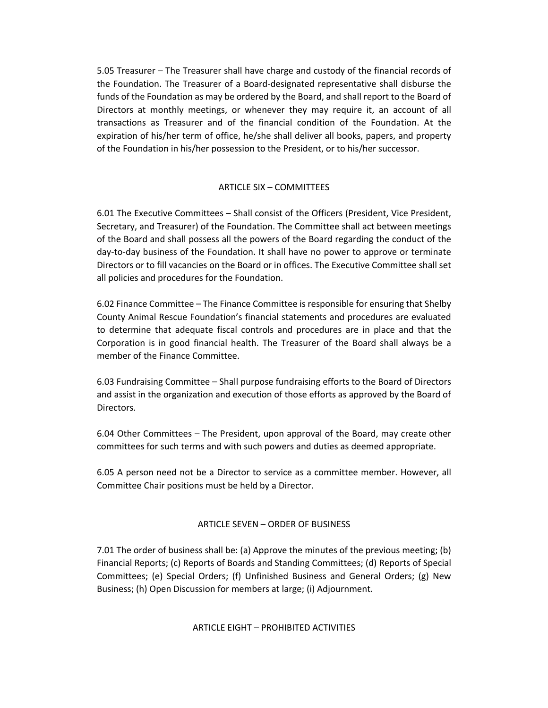5.05 Treasurer – The Treasurer shall have charge and custody of the financial records of the Foundation. The Treasurer of a Board-designated representative shall disburse the funds of the Foundation as may be ordered by the Board, and shall report to the Board of Directors at monthly meetings, or whenever they may require it, an account of all transactions as Treasurer and of the financial condition of the Foundation. At the expiration of his/her term of office, he/she shall deliver all books, papers, and property of the Foundation in his/her possession to the President, or to his/her successor.

## ARTICLE SIX – COMMITTEES

6.01 The Executive Committees – Shall consist of the Officers (President, Vice President, Secretary, and Treasurer) of the Foundation. The Committee shall act between meetings of the Board and shall possess all the powers of the Board regarding the conduct of the day-to-day business of the Foundation. It shall have no power to approve or terminate Directors or to fill vacancies on the Board or in offices. The Executive Committee shall set all policies and procedures for the Foundation.

6.02 Finance Committee – The Finance Committee is responsible for ensuring that Shelby County Animal Rescue Foundation's financial statements and procedures are evaluated to determine that adequate fiscal controls and procedures are in place and that the Corporation is in good financial health. The Treasurer of the Board shall always be a member of the Finance Committee.

6.03 Fundraising Committee – Shall purpose fundraising efforts to the Board of Directors and assist in the organization and execution of those efforts as approved by the Board of Directors.

6.04 Other Committees – The President, upon approval of the Board, may create other committees for such terms and with such powers and duties as deemed appropriate.

6.05 A person need not be a Director to service as a committee member. However, all Committee Chair positions must be held by a Director.

## ARTICLE SEVEN – ORDER OF BUSINESS

7.01 The order of business shall be: (a) Approve the minutes of the previous meeting; (b) Financial Reports; (c) Reports of Boards and Standing Committees; (d) Reports of Special Committees; (e) Special Orders; (f) Unfinished Business and General Orders; (g) New Business; (h) Open Discussion for members at large; (i) Adjournment.

ARTICLE EIGHT – PROHIBITED ACTIVITIES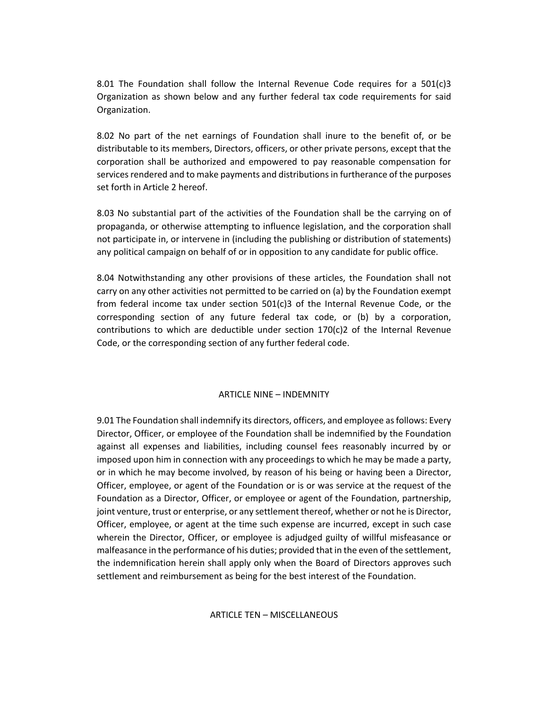8.01 The Foundation shall follow the Internal Revenue Code requires for a  $501(c)3$ Organization as shown below and any further federal tax code requirements for said Organization.

8.02 No part of the net earnings of Foundation shall inure to the benefit of, or be distributable to its members, Directors, officers, or other private persons, except that the corporation shall be authorized and empowered to pay reasonable compensation for services rendered and to make payments and distributions in furtherance of the purposes set forth in Article 2 hereof.

8.03 No substantial part of the activities of the Foundation shall be the carrying on of propaganda, or otherwise attempting to influence legislation, and the corporation shall not participate in, or intervene in (including the publishing or distribution of statements) any political campaign on behalf of or in opposition to any candidate for public office.

8.04 Notwithstanding any other provisions of these articles, the Foundation shall not carry on any other activities not permitted to be carried on (a) by the Foundation exempt from federal income tax under section 501(c)3 of the Internal Revenue Code, or the corresponding section of any future federal tax code, or (b) by a corporation, contributions to which are deductible under section 170(c)2 of the Internal Revenue Code, or the corresponding section of any further federal code.

#### ARTICLE NINE – INDEMNITY

9.01 The Foundation shall indemnify its directors, officers, and employee as follows: Every Director, Officer, or employee of the Foundation shall be indemnified by the Foundation against all expenses and liabilities, including counsel fees reasonably incurred by or imposed upon him in connection with any proceedings to which he may be made a party, or in which he may become involved, by reason of his being or having been a Director, Officer, employee, or agent of the Foundation or is or was service at the request of the Foundation as a Director, Officer, or employee or agent of the Foundation, partnership, joint venture, trust or enterprise, or any settlement thereof, whether or not he is Director, Officer, employee, or agent at the time such expense are incurred, except in such case wherein the Director, Officer, or employee is adjudged guilty of willful misfeasance or malfeasance in the performance of his duties; provided that in the even of the settlement, the indemnification herein shall apply only when the Board of Directors approves such settlement and reimbursement as being for the best interest of the Foundation.

ARTICLE TEN – MISCELLANEOUS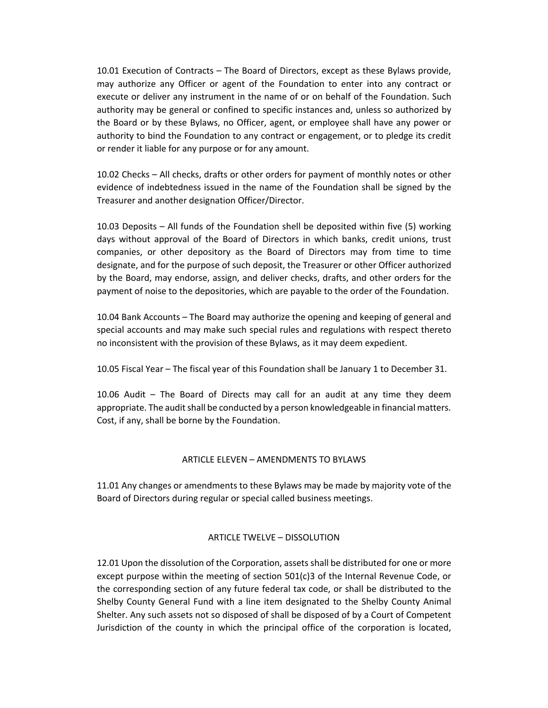10.01 Execution of Contracts – The Board of Directors, except as these Bylaws provide, may authorize any Officer or agent of the Foundation to enter into any contract or execute or deliver any instrument in the name of or on behalf of the Foundation. Such authority may be general or confined to specific instances and, unless so authorized by the Board or by these Bylaws, no Officer, agent, or employee shall have any power or authority to bind the Foundation to any contract or engagement, or to pledge its credit or render it liable for any purpose or for any amount.

10.02 Checks – All checks, drafts or other orders for payment of monthly notes or other evidence of indebtedness issued in the name of the Foundation shall be signed by the Treasurer and another designation Officer/Director.

10.03 Deposits – All funds of the Foundation shell be deposited within five (5) working days without approval of the Board of Directors in which banks, credit unions, trust companies, or other depository as the Board of Directors may from time to time designate, and for the purpose of such deposit, the Treasurer or other Officer authorized by the Board, may endorse, assign, and deliver checks, drafts, and other orders for the payment of noise to the depositories, which are payable to the order of the Foundation.

10.04 Bank Accounts – The Board may authorize the opening and keeping of general and special accounts and may make such special rules and regulations with respect thereto no inconsistent with the provision of these Bylaws, as it may deem expedient.

10.05 Fiscal Year – The fiscal year of this Foundation shall be January 1 to December 31.

10.06 Audit – The Board of Directs may call for an audit at any time they deem appropriate. The audit shall be conducted by a person knowledgeable in financial matters. Cost, if any, shall be borne by the Foundation.

## ARTICLE ELEVEN – AMENDMENTS TO BYLAWS

11.01 Any changes or amendments to these Bylaws may be made by majority vote of the Board of Directors during regular or special called business meetings.

#### ARTICLE TWELVE – DISSOLUTION

12.01 Upon the dissolution of the Corporation, assets shall be distributed for one or more except purpose within the meeting of section  $501(c)3$  of the Internal Revenue Code, or the corresponding section of any future federal tax code, or shall be distributed to the Shelby County General Fund with a line item designated to the Shelby County Animal Shelter. Any such assets not so disposed of shall be disposed of by a Court of Competent Jurisdiction of the county in which the principal office of the corporation is located,